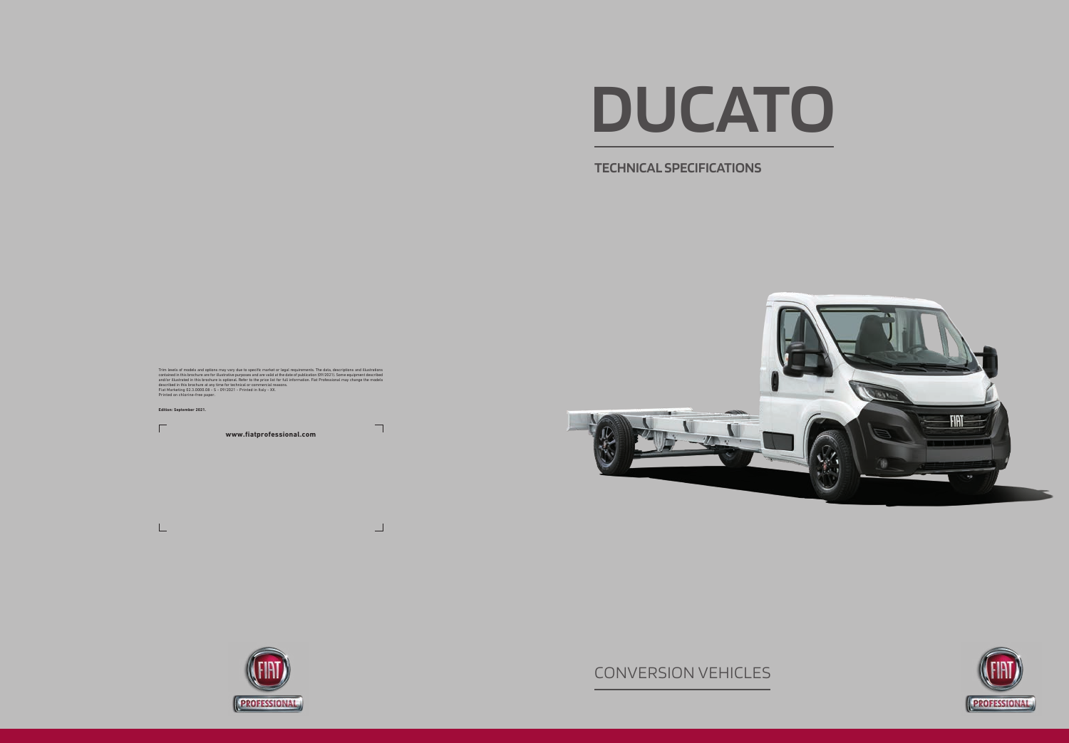**TECHNICAL SPECIFICATIONS**

Trim levels of models and options may vary due to specific market or legal requirements. The data, descriptions and illustrations contained in this brochure are for illustrations condined in this brochure is optional. Refe

# **DUCATO**

# CONVERSION VEHICLES



**www.fiatprofessional.com**





 $\Gamma$ 

 $\Box$ 

 $\Box$ 



**Edition: September 2021.**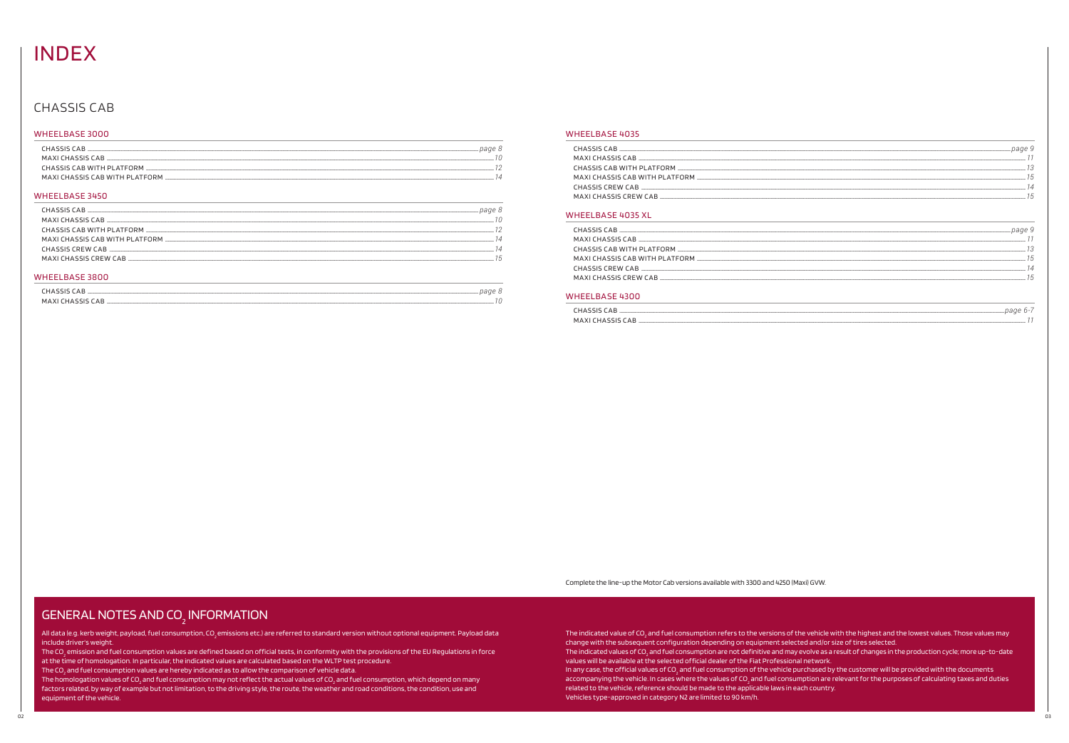# **INDEX**

## **CHASSIS CAB**

### WHEELBASE 3000

| CHASSIS CAB                     |  |
|---------------------------------|--|
| MAXI CHASSIS CAR                |  |
| CHASSIS CAR WITH PLATEORM       |  |
| MAXI CHASSIS CAR WITH DI ATEORM |  |

### WHEELBASE 3450

| CHASSIS CAB               | page 8 |
|---------------------------|--------|
| MAXI CHASSIS CAR          |        |
| CHASSIS CAB WITH PLATFORM |        |
|                           |        |
| CHASSIS CREW CAB          |        |
| MAXI CHASSIS CREW CAB     |        |
|                           |        |

### **WHEELBASE 3800**

| page<br>$\triangle$<br><b>Contract Contract</b> |     |
|-------------------------------------------------|-----|
| MAXI<br>HAS<br>AЬ                               | . . |

### **WHEELBASE 4035**

| MAXI CHASSIS CREW CAB |
|-----------------------|
|                       |

### **WHEELBASE 4035 XL**

| MAXI CHASSIS CREW CAB |
|-----------------------|
|                       |
|                       |

### WHEELBASE 4300

| <b>HASSIS CAR</b> |  |
|-------------------|--|
| MAXI CHASSIS CAR  |  |

Complete the line-up the Motor Cab versions available with 3300 and 4250 (Maxi) GVW.

# **GENERAL NOTES AND CO<sub>2</sub> INFORMATION**

All data (e.g. kerb weight, payload, fuel consumption, CO<sub>,</sub> emissions etc.) are referred to standard version without optional equipment. Payload data include driver's weight.

The CO<sub>2</sub> emission and fuel consumption values are defined based on official tests, in conformity with the provisions of the EU Regulations in force at the time of homologation. In particular, the indicated values are calculated based on the WLTP test procedure.

The CO<sub>2</sub> and fuel consumption values are hereby indicated as to allow the comparison of vehicle data.

The homologation values of CO<sub>2</sub> and fuel consumption may not reflect the actual values of CO<sub>2</sub> and fuel consumption, which depend on many factors related, by way of example but not limitation, to the driving style, the route, the weather and road conditions, the condition, use and equipment of the vehicle.

The indicated value of CO<sub>2</sub> and fuel consumption refers to the versions of the vehicle with the highest and the lowest values. Those values may change with the subsequent configuration depending on equipment selected and/or size of tires selected. The indicated values of CO, and fuel consumption are not definitive and may evolve as a result of changes in the production cycle; more up-to-date values will be available at the selected official dealer of the Fiat Professional network. In any case, the official values of CO<sub>2</sub> and fuel consumption of the vehicle purchased by the customer will be provided with the documents accompanying the vehicle. In cases where the values of CO<sub>2</sub> and fuel consumption are relevant for the purposes of calculating taxes and duties related to the vehicle, reference should be made to the applicable laws in each country. Vehicles type-approved in category N2 are limited to 90 km/h.

| $page\,9$          |           |
|--------------------|-----------|
| -----------------  |           |
| -----------------  | 3         |
| ------------------ | '5        |
|                    | $\Lambda$ |
| ---------          | 15        |
|                    |           |

| 73 |
|----|
| 15 |
| 14 |
| 15 |
|    |
|    |

| ______________page 6-/                     |  |
|--------------------------------------------|--|
| -----------<br>--------------<br>--------- |  |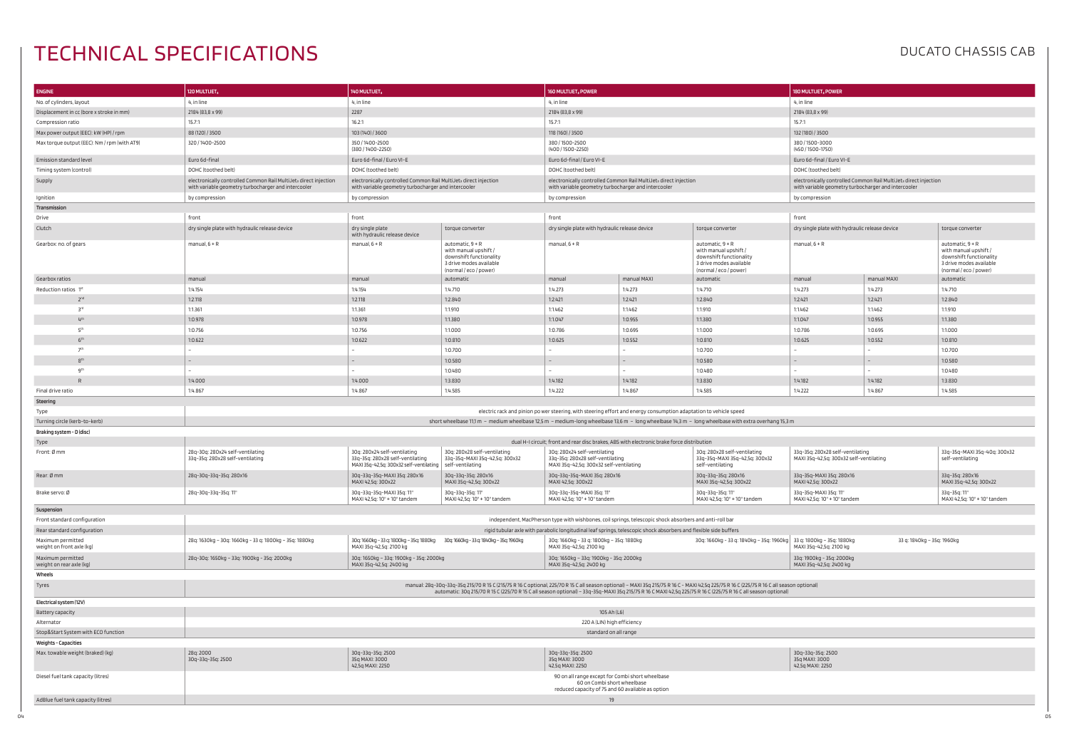# TECHNICAL SPECIFICATIONS DUCATONS

| <b>ENGINE</b>                                                | 120 MULTIJET <sub>3</sub>                                                                                               | 140 MULTIJET,                                                                                                           |                                                                                                                                                                                           | 160 MULTIJET, POWER                                                                                                                  |                                                                                                                         |                                                                                                                             | 180 MULTIJET <sub>3</sub> POWER                                             |                                                                                                                         |                                                                                                                             |  |
|--------------------------------------------------------------|-------------------------------------------------------------------------------------------------------------------------|-------------------------------------------------------------------------------------------------------------------------|-------------------------------------------------------------------------------------------------------------------------------------------------------------------------------------------|--------------------------------------------------------------------------------------------------------------------------------------|-------------------------------------------------------------------------------------------------------------------------|-----------------------------------------------------------------------------------------------------------------------------|-----------------------------------------------------------------------------|-------------------------------------------------------------------------------------------------------------------------|-----------------------------------------------------------------------------------------------------------------------------|--|
| No. of cylinders, layout                                     | 4, in line                                                                                                              |                                                                                                                         | 4, in line                                                                                                                                                                                |                                                                                                                                      | 4, in line                                                                                                              |                                                                                                                             |                                                                             | 4, in line                                                                                                              |                                                                                                                             |  |
| 2184 (83,8 x 99)<br>Displacement in cc (bore x stroke in mm) |                                                                                                                         | 2287                                                                                                                    |                                                                                                                                                                                           |                                                                                                                                      | 2184 (83,8 x 99)                                                                                                        |                                                                                                                             |                                                                             | 2184 (83,8 x 99)                                                                                                        |                                                                                                                             |  |
| 15.7:1<br>Compression ratio                                  |                                                                                                                         | 16.2:1                                                                                                                  |                                                                                                                                                                                           | 15.7:1                                                                                                                               |                                                                                                                         |                                                                                                                             | 15.7:1                                                                      |                                                                                                                         |                                                                                                                             |  |
| Max power output (EEC): kW (HP) / rpm                        | 88 (120) / 3500                                                                                                         |                                                                                                                         | 103 (140) / 3600<br>118 (160) / 3500                                                                                                                                                      |                                                                                                                                      |                                                                                                                         |                                                                                                                             | 132 (180) / 3500                                                            |                                                                                                                         |                                                                                                                             |  |
| Max torque output (EEC): Nm / rpm (with AT9)                 | 320 / 1400-2500                                                                                                         | 350/1400-2500<br>(380 / 1400-2250)                                                                                      |                                                                                                                                                                                           | 380/1500-2500<br>(400 / 1500-2250)                                                                                                   |                                                                                                                         |                                                                                                                             | 380/1500-3000<br>(450 / 1500-1750)                                          |                                                                                                                         |                                                                                                                             |  |
| Emission standard level                                      | Euro 6d-final                                                                                                           | Euro 6d-final / Euro VI-E                                                                                               |                                                                                                                                                                                           | Euro 6d-final / Euro VI-E                                                                                                            |                                                                                                                         |                                                                                                                             | Euro 6d-final / Euro VI-E                                                   |                                                                                                                         |                                                                                                                             |  |
| Timing system (control)                                      | DOHC (toothed belt)                                                                                                     | DOHC (toothed belt)                                                                                                     |                                                                                                                                                                                           | DOHC (toothed belt)                                                                                                                  |                                                                                                                         |                                                                                                                             | DOHC (toothed belt)                                                         |                                                                                                                         |                                                                                                                             |  |
| Supply                                                       | electronically controlled Common Rail MultiJets direct injection<br>with variable geometry turbocharger and intercooler | electronically controlled Common Rail MultiJets direct injection<br>with variable geometry turbocharger and intercooler |                                                                                                                                                                                           |                                                                                                                                      | electronically controlled Common Rail MultiJets direct injection<br>with variable geometry turbocharger and intercooler |                                                                                                                             |                                                                             | electronically controlled Common Rail MultiJets direct injection<br>with variable geometry turbocharger and intercooler |                                                                                                                             |  |
| Ignition                                                     | by compression                                                                                                          | by compression                                                                                                          |                                                                                                                                                                                           |                                                                                                                                      | by compression                                                                                                          |                                                                                                                             |                                                                             | by compression                                                                                                          |                                                                                                                             |  |
| Transmission                                                 |                                                                                                                         |                                                                                                                         |                                                                                                                                                                                           |                                                                                                                                      |                                                                                                                         |                                                                                                                             |                                                                             |                                                                                                                         |                                                                                                                             |  |
| Drive                                                        | front                                                                                                                   | front                                                                                                                   |                                                                                                                                                                                           | front                                                                                                                                |                                                                                                                         |                                                                                                                             | front                                                                       |                                                                                                                         |                                                                                                                             |  |
| Clutch                                                       | dry single plate with hydraulic release device                                                                          | dry single plate<br>with hydraulic release device                                                                       | torque converter                                                                                                                                                                          | dry single plate with hydraulic release device                                                                                       |                                                                                                                         | torque converter                                                                                                            | dry single plate with hydraulic release device                              |                                                                                                                         | torque converter                                                                                                            |  |
| Gearbox: no. of gears                                        | manual, $6 + R$                                                                                                         | manual, $6 + R$                                                                                                         | automatic, $9 + R$<br>with manual upshift /<br>downshift functionality<br>3 drive modes available<br>(normal / eco / power)                                                               | manual, $6 + R$                                                                                                                      |                                                                                                                         | automatic, $9 + R$<br>with manual upshift /<br>downshift functionality<br>3 drive modes available<br>(normal / eco / power) | manual, $6 + R$                                                             |                                                                                                                         | automatic, $9 + R$<br>with manual upshift /<br>downshift functionality<br>3 drive modes available<br>(normal / eco / power) |  |
| Gearbox ratios                                               | manual                                                                                                                  | manual                                                                                                                  | automatic                                                                                                                                                                                 | manual                                                                                                                               | manual MAXI                                                                                                             | automatic                                                                                                                   | manual                                                                      | manual MAXI                                                                                                             | automatic                                                                                                                   |  |
| Reduction ratios 1st                                         | 1:4.154                                                                                                                 | 1:4.154                                                                                                                 | 1:4.710                                                                                                                                                                                   | 1:4.273                                                                                                                              | 1:4.273                                                                                                                 | 1:4.710                                                                                                                     | 1:4.273                                                                     | 1:4.273                                                                                                                 | 1:4.710                                                                                                                     |  |
| 2 <sup>nd</sup>                                              | 1:2.118                                                                                                                 | 1:2.118                                                                                                                 | 1:2.840                                                                                                                                                                                   | 1:2.421                                                                                                                              | 1:2.421                                                                                                                 | 1:2.840                                                                                                                     | 1:2.421                                                                     | 1:2.421                                                                                                                 | 1:2.840                                                                                                                     |  |
| <b>R</b>                                                     | 1:1.361                                                                                                                 | 1:1.361                                                                                                                 | 1:1.910                                                                                                                                                                                   | 1:1.462                                                                                                                              | 1:1.462                                                                                                                 | 1:1.910                                                                                                                     | 1:1.462                                                                     | 1:1.462                                                                                                                 | 1:1.910                                                                                                                     |  |
| 4 <sup>th</sup>                                              | 1:0.978                                                                                                                 | 1:0.978                                                                                                                 | 1:1.380                                                                                                                                                                                   | 1:1.047                                                                                                                              | 1:0.955                                                                                                                 | 1:1.380                                                                                                                     | 1:1.047                                                                     | 1:0.955                                                                                                                 | 1:1.380                                                                                                                     |  |
| 5 <sup>th</sup>                                              | 1:0.756                                                                                                                 | 1:0.756                                                                                                                 | 1:1.000                                                                                                                                                                                   | 1:0.786                                                                                                                              | 1:0.695                                                                                                                 | 1:1.000                                                                                                                     | 1:0.786                                                                     | 1:0.695                                                                                                                 | 1:1.000                                                                                                                     |  |
| 6 <sup>th</sup>                                              | 1:0.622                                                                                                                 | 1:0.622                                                                                                                 | 1:0.810                                                                                                                                                                                   | 1:0.625                                                                                                                              | 1:0.552                                                                                                                 | 1:0.810                                                                                                                     | 1:0.625                                                                     | 1:0.552                                                                                                                 | 1:0.810                                                                                                                     |  |
| 7 <sup>th</sup>                                              |                                                                                                                         |                                                                                                                         | 1:0.700                                                                                                                                                                                   |                                                                                                                                      |                                                                                                                         | 1:0.700                                                                                                                     |                                                                             |                                                                                                                         | 1:0.700                                                                                                                     |  |
| 8 <sup>th</sup>                                              |                                                                                                                         |                                                                                                                         | 1:0.580                                                                                                                                                                                   | $-$                                                                                                                                  | $\sim$                                                                                                                  | 1:0.580                                                                                                                     |                                                                             |                                                                                                                         | 1:0.580                                                                                                                     |  |
| gth                                                          |                                                                                                                         |                                                                                                                         | 1:0.480                                                                                                                                                                                   |                                                                                                                                      |                                                                                                                         | 1:0.480                                                                                                                     |                                                                             |                                                                                                                         | 1:0.480                                                                                                                     |  |
| $\mathsf{R}$                                                 | 1:4.000                                                                                                                 | 1:4.000                                                                                                                 | 1:3.830                                                                                                                                                                                   | 1:4.182                                                                                                                              | 1:4.182                                                                                                                 | 1:3.830                                                                                                                     | 1:4.182                                                                     | 1:4.182                                                                                                                 | 1:3.830                                                                                                                     |  |
| Final drive ratio                                            | 1:4.867                                                                                                                 | 1:4.867                                                                                                                 | 1:4.585                                                                                                                                                                                   | 1:4.222                                                                                                                              | 1:4.867                                                                                                                 | 1:4.585                                                                                                                     | 1:4.222                                                                     | 1:4.867                                                                                                                 | 1:4.585                                                                                                                     |  |
| Steering                                                     |                                                                                                                         |                                                                                                                         |                                                                                                                                                                                           |                                                                                                                                      |                                                                                                                         |                                                                                                                             |                                                                             |                                                                                                                         |                                                                                                                             |  |
| Type                                                         |                                                                                                                         |                                                                                                                         |                                                                                                                                                                                           | electric rack and pinion po wer steering, with steering effort and energy consumption adaptation to vehicle speed                    |                                                                                                                         |                                                                                                                             |                                                                             |                                                                                                                         |                                                                                                                             |  |
| Turning circle (kerb-to-kerb)                                |                                                                                                                         |                                                                                                                         | short wheelbase 11,1 m - medium wheelbase 12,5 m - medium-long wheelbase 13,6 m - long wheelbase 14,3 m - long wheelbase with extra overhang 15,3 m                                       |                                                                                                                                      |                                                                                                                         |                                                                                                                             |                                                                             |                                                                                                                         |                                                                                                                             |  |
| Braking system - D (disc)                                    |                                                                                                                         |                                                                                                                         |                                                                                                                                                                                           |                                                                                                                                      |                                                                                                                         |                                                                                                                             |                                                                             |                                                                                                                         |                                                                                                                             |  |
| Type                                                         |                                                                                                                         |                                                                                                                         |                                                                                                                                                                                           | dual H-I circuit; front and rear disc brakes, ABS with electronic brake force distribution                                           |                                                                                                                         |                                                                                                                             |                                                                             |                                                                                                                         |                                                                                                                             |  |
| Front: Ø mm                                                  | 28q-30q: 280x24 self-ventilating<br>33q-35q: 280x28 self-ventilating                                                    | 30g: 280x24 self-ventilating<br>33q-35q: 280x28 self-ventilating<br>MAXI 35q-42,5q: 300x32 self-ventilating             | 30g: 280x28 self-ventilating<br>33q-35q-MAXI 35q-42,5q: 300x32<br>self-ventilating                                                                                                        | 30q: 280x24 self-ventilating<br>33q-35q: 280x28 self-ventilating<br>MAXI 35q-42,5q: 300x32 self-ventilating                          |                                                                                                                         | 30g: 280x28 self-ventilating<br>33q-35q-MAXI 35q-42,5q: 300x32<br>self-ventilating                                          | 33q-35q: 280x28 self-ventilating<br>MAXI 35q-42,5q: 300x32 self-ventilating |                                                                                                                         | 33q-35q-MAXI 35q-40q: 300x32<br>self-ventilating                                                                            |  |
| Rear: Ø mm                                                   | 28q-30q-33q-35q: 280x16                                                                                                 | 30g-33g-35g-MAXI 35g: 280x16<br>MAXI 42,5q: 300x22                                                                      | 30q-33q-35q: 280x16<br>MAXI 35q-42,5q: 300x22                                                                                                                                             | 30q-33q-35q-MAXI 35q: 280x16<br>MAXI 42,5q: 300x22                                                                                   |                                                                                                                         | 30q-33q-35q: 280x16<br>MAXI 35q-42,5q: 300x22                                                                               | 33q-35q-MAXI 35q: 280x16<br>MAXI 42,5q: 300x22                              |                                                                                                                         | 33q-35q: 280x16<br>MAXI 35g-42,5g: 300x22                                                                                   |  |
| Brake servo: Ø                                               | 28q-30q-33q-35q: 11"                                                                                                    | 30q-33q-35q-MAXI 35q: 11"<br>MAXI 42,5q: 10" + 10" tandem                                                               | 30q-33q-35q: 11"<br>MAXI 42,5q: 10" + 10" tandem                                                                                                                                          | 30q-33q-35q-MAXI 35q: 11"<br>MAXI 42.5g: 10" + 10" tandem                                                                            |                                                                                                                         | 30q-33q-35q: 11"<br>MAXI 42,5q: 10" + 10" tandem                                                                            | 33q-35q-MAXI 35q: 11"<br>MAXI 42,5q: 10" + 10" tandem                       |                                                                                                                         | 33q-35q: 11"<br>MAXI 42,5q: 10" + 10" tandem                                                                                |  |
| Suspension                                                   |                                                                                                                         |                                                                                                                         |                                                                                                                                                                                           |                                                                                                                                      |                                                                                                                         |                                                                                                                             |                                                                             |                                                                                                                         |                                                                                                                             |  |
| Front standard configuration                                 |                                                                                                                         |                                                                                                                         |                                                                                                                                                                                           | independent, MacPherson type with wishbones, coil springs, telescopic shock absorbers and anti-roll bar                              |                                                                                                                         |                                                                                                                             |                                                                             |                                                                                                                         |                                                                                                                             |  |
| Rear standard configuration                                  |                                                                                                                         |                                                                                                                         |                                                                                                                                                                                           | rigid tubular axle with parabolic longitudinal leaf springs, telescopic shock absorbers and flexible side buffers                    |                                                                                                                         |                                                                                                                             |                                                                             |                                                                                                                         |                                                                                                                             |  |
| Maximum permitted<br>weight on front axle (kg)               | 28q: 1630kg - 30q: 1660kg - 33 q: 1800kg - 35q: 1880kg                                                                  | 30q: 1660kg - 33 q: 1800kg - 35q: 1880kg<br>MAXI 35q-42,5q: 2100 kg                                                     | 30q: 1660kg - 33 q: 1840kg - 35q: 1960kg                                                                                                                                                  | 30q: 1660kg - 33 q: 1800kg - 35q: 1880kg<br>MAXI 35q-42,5q: 2100 kg                                                                  |                                                                                                                         | 30q: 1660kg - 33 q: 1840kg - 35q: 1960kg   33 q: 1800kg - 35q: 1880kg                                                       | MAXI 35g-42,5g: 2100 kg                                                     | 33 g: 1840kg - 35g: 1960kg                                                                                              |                                                                                                                             |  |
| Maximum permitted<br>weight on rear axle (kg)                | 28q-30q: 1650kg - 33q: 1900kg - 35q: 2000kg                                                                             | 30g: 1650kg - 33g: 1900kg - 35g: 2000kg<br>MAXI 35q-42,5q: 2400 kg                                                      |                                                                                                                                                                                           | 30q: 1650kg - 33q: 1900kg - 35q: 2000kg<br>MAXI 35q-42,5q: 2400 kg                                                                   |                                                                                                                         |                                                                                                                             | 33q: 1900kg - 35q: 2000kg<br>MAXI 35q-42,5q: 2400 kg                        |                                                                                                                         |                                                                                                                             |  |
| Wheels                                                       |                                                                                                                         |                                                                                                                         |                                                                                                                                                                                           |                                                                                                                                      |                                                                                                                         |                                                                                                                             |                                                                             |                                                                                                                         |                                                                                                                             |  |
| Tyres                                                        |                                                                                                                         |                                                                                                                         | manual: 28q-30q-33q-35q 215/70 R 15 C (215/75 R 16 C optional, 225/70 R 15 C all season optional) - MAXI 35q 215/75 R 16 C - MAXI 42,5q 225/75 R 16 C (225/75 R 16 C all season optional) |                                                                                                                                      |                                                                                                                         |                                                                                                                             |                                                                             |                                                                                                                         |                                                                                                                             |  |
| Electrical system (12V)                                      |                                                                                                                         |                                                                                                                         | automatic: 30q 215/70 R 15 C (225/70 R 15 C all season optional) - 33q-35q-MAXI 35q 215/75 R 16 C MAXI 42,5q 225/75 R 16 C (225/75 R 16 C all season optional)                            |                                                                                                                                      |                                                                                                                         |                                                                                                                             |                                                                             |                                                                                                                         |                                                                                                                             |  |
| Battery capacity                                             |                                                                                                                         |                                                                                                                         |                                                                                                                                                                                           | 105 Ah (L6)                                                                                                                          |                                                                                                                         |                                                                                                                             |                                                                             |                                                                                                                         |                                                                                                                             |  |
| Alternator                                                   |                                                                                                                         |                                                                                                                         |                                                                                                                                                                                           | 220 A (LIN) high efficiency                                                                                                          |                                                                                                                         |                                                                                                                             |                                                                             |                                                                                                                         |                                                                                                                             |  |
| Stop&Start System with ECO function                          |                                                                                                                         |                                                                                                                         |                                                                                                                                                                                           | standard on all range                                                                                                                |                                                                                                                         |                                                                                                                             |                                                                             |                                                                                                                         |                                                                                                                             |  |
|                                                              |                                                                                                                         |                                                                                                                         |                                                                                                                                                                                           |                                                                                                                                      |                                                                                                                         |                                                                                                                             |                                                                             |                                                                                                                         |                                                                                                                             |  |
| Weights - Capacities                                         |                                                                                                                         |                                                                                                                         |                                                                                                                                                                                           |                                                                                                                                      |                                                                                                                         |                                                                                                                             |                                                                             |                                                                                                                         |                                                                                                                             |  |
| Max. towable weight (braked) (kg)                            | 28q: 2000<br>30q-33q-35q: 2500                                                                                          | 30q-33q-35q: 2500<br>35q MAXI: 3000<br>42,5q MAXI: 2250                                                                 |                                                                                                                                                                                           | 30q-33q-35q: 2500<br>35q MAXI: 3000<br>42,5q MAXI: 2250                                                                              |                                                                                                                         |                                                                                                                             | 30q-33q-35q: 2500<br>35q MAXI: 3000<br>42,5q MAXI: 2250                     |                                                                                                                         |                                                                                                                             |  |
| Diesel fuel tank capacity (litres)                           |                                                                                                                         |                                                                                                                         |                                                                                                                                                                                           | 90 on all range except for Combi short wheelbase<br>60 on Combi short wheelbase<br>reduced capacity of 75 and 60 available as option |                                                                                                                         |                                                                                                                             |                                                                             |                                                                                                                         |                                                                                                                             |  |
| AdBlue fuel tank capacity (litres)                           |                                                                                                                         |                                                                                                                         |                                                                                                                                                                                           | 19                                                                                                                                   |                                                                                                                         |                                                                                                                             |                                                                             |                                                                                                                         |                                                                                                                             |  |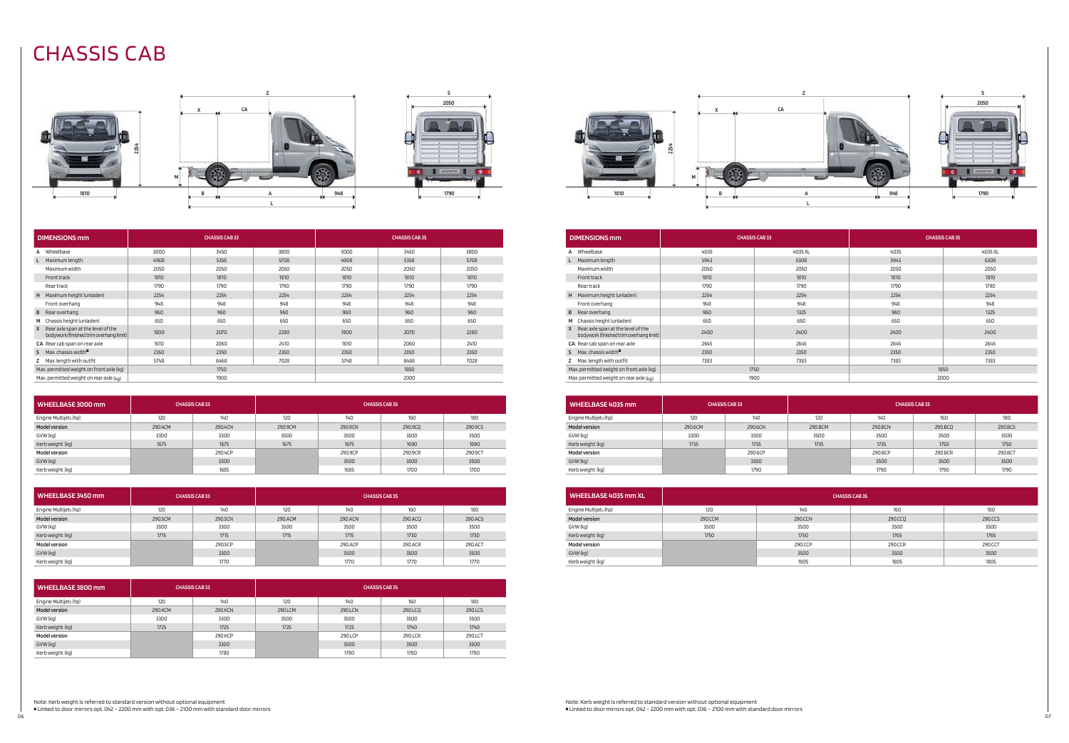| <b>DIMENSIONS mm</b>                                                               | <b>CHASSIS CAB 33</b> |      | <b>CHASSIS CAB 35</b> |      |      |      |
|------------------------------------------------------------------------------------|-----------------------|------|-----------------------|------|------|------|
| Wheelbase                                                                          | 3000                  | 3450 | 3800                  | 3000 | 3450 | 3800 |
| Maximum length                                                                     | 4908                  | 5358 | 5708                  | 4908 | 5358 | 5708 |
| Maximum width                                                                      | 2050                  | 2050 | 2050                  | 2050 | 2050 | 2050 |
| Front track                                                                        | 1810                  | 1810 | 1810                  | 1810 | 1810 | 1810 |
| <b>Rear track</b>                                                                  | 1790                  | 1790 | 1790                  | 1790 | 1790 | 1790 |
| Maximum height (unladen)<br>H                                                      | 2254                  | 2254 | 2254                  | 2254 | 2254 | 2254 |
| Front overhang                                                                     | 948                   | 948  | 948                   | 948  | 948  | 948  |
| Rear overhang<br>B                                                                 | 960                   | 960  | 960                   | 960  | 960  | 960  |
| Chassis height (unladen)<br>M                                                      | 650                   | 650  | 650                   | 650  | 650  | 650  |
| Rear axle span at the level of the<br>X<br>bodywork (finished trim overhang limit) | 1800                  | 2070 | 2280                  | 1800 | 2070 | 2280 |
| CA Rear cab span on rear axle                                                      | 1610                  | 2060 | 2410                  | 1610 | 2060 | 2410 |
| Max. chassis width $\blacksquare$<br>s.                                            | 2350                  | 2350 | 2350                  | 2350 | 2350 | 2350 |
| Max. length with outfit                                                            | 5748                  | 6468 | 7028                  | 5748 | 6468 | 7028 |
| Max. permitted weight on front axle (kg)                                           |                       | 1750 |                       | 1850 |      |      |
| Max. permitted weight on rear axle $(kq)$<br>1900                                  |                       | 2000 |                       |      |      |      |

Note: Kerb weight is referred to standard version without optional equipment

 $\blacksquare$  Linked to door mirrors opt. 042 – 2200 mm with opt. 036 – 2100 mm with standard door mirrors 06<br>06

# CHASSIS CAB







|      | 2254 |   |
|------|------|---|
|      |      | ı |
| 1810 |      |   |





| WHEELBASE 3000 mm                 |         | <b>CHASSIS CAB33</b> |         | <b>CHASSIS CAB 35</b> |         |         |
|-----------------------------------|---------|----------------------|---------|-----------------------|---------|---------|
| Engine Multijet <sub>3</sub> (hp) | 120     | 140                  | 120     | 140                   | 160     | 180     |
| <b>Model version</b>              | 290.4CM | 290.4CN              | 290.9CM | 290.9CN               | 290.9CQ | 290.9CS |
| GVW (kg)                          | 3300    | 3300                 | 3500    | 3500                  | 3500    | 3500    |
| Kerb weight (kg)                  | 1675    | 1675                 | 1675    | 1675                  | 1690    | 1690    |
| <b>Model version</b>              |         | 290.4CP              |         | 290.9CP               | 290.9CR | 290.9CT |
| GVW (kg)                          |         | 3300                 |         | 3500                  | 3500    | 3500    |
| Kerb weight (kg)                  |         | 1685                 |         | 1685                  | 1700    | 1700    |

| WHEELBASE 3450 mm                 |         | <b>CHASSIS CAB 33</b> |         |         | <b>CHASSIS CAB 35</b> |         |
|-----------------------------------|---------|-----------------------|---------|---------|-----------------------|---------|
| Engine Multijet <sub>3</sub> (hp) | 120     | 140                   | 120     | 140     | 160                   | 180     |
| <b>Model version</b>              | 290.5CM | 290.5CN               | 290.ACM | 290.ACN | 290.ACQ               | 290.ACS |
| GVW (kg)                          | 3300    | 3300                  | 3500    | 3500    | 3500                  | 3500    |
| Kerb weight (kg)                  | 1715    | 1715                  | 1715    | 1715    | 1730                  | 1730    |
| <b>Model version</b>              |         | 290.5CP               |         | 290.ACP | 290.ACR               | 290.ACT |
| GVW (kg)                          |         | 3300                  |         | 3500    | 3500                  | 3500    |
| Kerb weight (kg)                  |         | 1770                  |         | 1770    | 1770                  | 1770    |

| WHEELBASE 3800 mm                 | <b>CHASSIS CAB 33</b> |         | <b>CHASSIS CAB 35</b> |         |         |         |
|-----------------------------------|-----------------------|---------|-----------------------|---------|---------|---------|
| Engine Multijet <sub>3</sub> (hp) | 120                   | 140     | 120                   | 140     | 160     | 180     |
| <b>Model version</b>              | 290.KCM               | 290.KCN | 290.LCM               | 290.LCN | 290.LCQ | 290.LCS |
| GVW (kg)                          | 3300                  | 3300    | 3500                  | 3500    | 3500    | 3500    |
| Kerb weight (kg)                  | 1725                  | 1725    | 1725                  | 1725    | 1740    | 1740    |
| <b>Model version</b>              |                       | 290.KCP |                       | 290.LCP | 290.LCR | 290.LCT |
| GVW (kg)                          |                       | 3300    |                       | 3500    | 3500    | 3500    |
| Kerb weight (kg)                  |                       | 1780    |                       | 1780    | 1780    | 1780    |

| <b>DIMENSIONS mm</b>                                                                |      | <b>CHASSIS CAB33</b> |      | <b>CHASSIS CAB 35</b> |  |  |
|-------------------------------------------------------------------------------------|------|----------------------|------|-----------------------|--|--|
| A Wheelbase                                                                         | 4035 | 4035 XL              | 4035 | 4035 XL               |  |  |
| Maximum length                                                                      | 5943 | 6308                 | 5943 | 6308                  |  |  |
| Maximum width                                                                       | 2050 | 2050                 | 2050 | 2050                  |  |  |
| Front track                                                                         | 1810 | 1810                 | 1810 | 1810                  |  |  |
| Rear track                                                                          | 1790 | 1790                 | 1790 | 1790                  |  |  |
| H Maximum height (unladen)                                                          | 2254 | 2254                 | 2254 | 2254                  |  |  |
| Front overhang                                                                      | 948  | 948                  | 948  | 948                   |  |  |
| <b>B</b> Rear overhang                                                              | 960  | 1325                 | 960  | 1325                  |  |  |
| M Chassis height (unladen)                                                          | 650  | 650                  | 650  | 650                   |  |  |
| Rear axle span at the level of the<br>X.<br>bodywork (finished trim overhang limit) | 2400 | 2400                 | 2400 | 2400                  |  |  |
| CA Rear cab span on rear axle                                                       | 2645 | 2645                 | 2645 | 2645                  |  |  |
| 5 Max. chassis width <sup>■</sup>                                                   | 2350 | 2350                 | 2350 | 2350                  |  |  |
| Z Max. length with outfit                                                           | 7383 | 7383                 | 7383 | 7383                  |  |  |
| Max. permitted weight on front axle (kg)                                            |      | 1750                 |      | 1850                  |  |  |
| Max. permitted weight on rear axle $(ka)$                                           |      | 1900                 | 2000 |                       |  |  |

| WHEELBASE 4035 mm                 |         | <b>CHASSIS CAB33</b> |         |         | <b>CHASSIS CAB 35</b> |         |
|-----------------------------------|---------|----------------------|---------|---------|-----------------------|---------|
| Engine Multijet <sub>3</sub> (hp) | 120     | 140                  | 120     | 140     | 160                   | 180     |
| <b>Model version</b>              | 290.6CM | 290.6CN              | 290.BCM | 290.BCN | 290.BCQ               | 290.BCS |
| GVW (kg)                          | 3300    | 3300                 | 3500    | 3500    | 3500                  | 3500    |
| Kerb weight (kg)                  | 1735    | 1735                 | 1735    | 1735    | 1750                  | 1750    |
| <b>Model version</b>              |         | 290.6CP              |         | 290.BCP | 290.BCR               | 290.BCT |
| GVW (kg)                          |         | 3300                 |         | 3500    | 3500                  | 3500    |
| Kerb weight (kg)                  |         | 1790                 |         | 1790    | 1790                  | 1790    |

| WHEELBASE 4035 mm XL              | <b>CHASSIS CAB35</b> |         |         |         |  |  |  |  |
|-----------------------------------|----------------------|---------|---------|---------|--|--|--|--|
| Engine Multijet <sub>3</sub> (hp) | 120                  | 140     | 160     | 180     |  |  |  |  |
| <b>Model version</b>              | 290.CCM              | 290.CCN | 290.CCQ | 290.CCS |  |  |  |  |
| GVW (kg)                          | 3500                 | 3500    | 3500    | 3500    |  |  |  |  |
| Kerb weight (kg)                  | 1750                 | 1750    | 1765    | 1765    |  |  |  |  |
| <b>Model version</b>              |                      | 290.CCP | 290.CCR | 290.CCT |  |  |  |  |
| GVW (kg)                          |                      | 3500    | 3500    | 3500    |  |  |  |  |
| Kerb weight (kg)                  |                      | 1805    | 1805    | 1805    |  |  |  |  |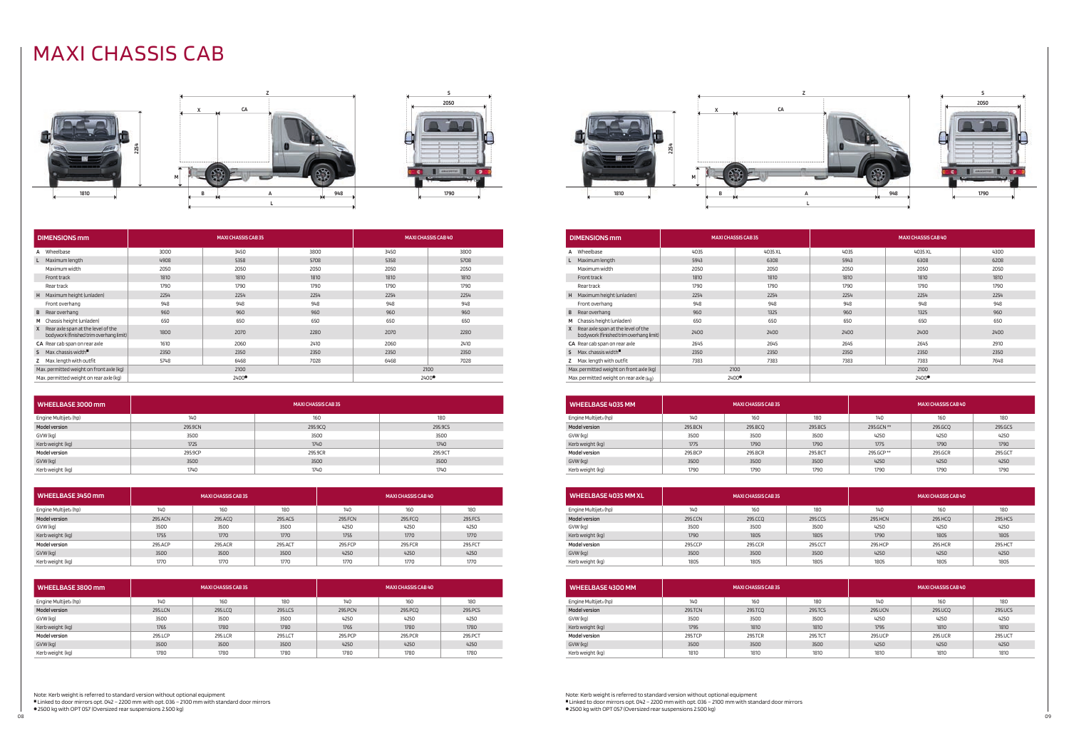Note: Kerb weight is referred to standard version without optional equipment

<sup>A</sup> Linked to door mirrors opt. 042 – 2200 mm with opt. 036 – 2100 mm with standard door mirrors

**.** 2500 kg with OPT 057 (Oversized rear suspensions 2.500 kg) 08<br>08

Note: Kerb weight is referred to standard version without optional equipment Inked to door mirrors opt. 042 – 2200 mm with opt. 036 – 2100 mm with standard door mirrors **.** 2500 kg with OPT 057 (Oversized rear suspensions 2.500 kg)

# MAXI CHASSIS CAB













| <b>DIMENSIONS mm</b>                                                            |      | <b>MAXI CHASSIS CAB 35</b> |      |       | <b>MAXI CHASSIS CAB 40</b> |
|---------------------------------------------------------------------------------|------|----------------------------|------|-------|----------------------------|
| A Wheelbase                                                                     | 3000 | 3450                       | 3800 | 3450  | 3800                       |
| L Maximum length                                                                | 4908 | 5358                       | 5708 | 5358  | 5708                       |
| Maximum width                                                                   | 2050 | 2050                       | 2050 | 2050  | 2050                       |
| Front track                                                                     | 1810 | 1810                       | 1810 | 1810  | 1810                       |
| Rear track                                                                      | 1790 | 1790                       | 1790 | 1790  | 1790                       |
| H Maximum height (unladen)                                                      | 2254 | 2254                       | 2254 | 2254  | 2254                       |
| Front overhang                                                                  | 948  | 948                        | 948  | 948   | 948                        |
| <b>B</b> Rear overhang                                                          | 960  | 960                        | 960  | 960   | 960                        |
| M Chassis height (unladen)                                                      | 650  | 650                        | 650  | 650   | 650                        |
| X Rear axle span at the level of the<br>bodywork (finished trim overhang limit) | 1800 | 2070                       | 2280 | 2070  | 2280                       |
| CA Rear cab span on rear axle                                                   | 1610 | 2060                       | 2410 | 2060  | 2410                       |
| $S$ Max, chassis width <sup>"</sup>                                             | 2350 | 2350                       | 2350 | 2350  | 2350                       |
| Z Max. length with outfit                                                       | 5748 | 6468                       | 7028 | 6468  | 7028                       |
| Max. permitted weight on front axle (kg)                                        |      | 2100                       |      | 2100  |                            |
| Max. permitted weight on rear axle (kg)                                         |      | 2400●                      |      | 2400● |                            |

| WHEELBASE 3000 mm                 | <b>MAXI CHASSIS CAB 35</b> |         |         |  |  |  |
|-----------------------------------|----------------------------|---------|---------|--|--|--|
| Engine Multijet <sub>3</sub> (hp) | 140                        | 160     | 180     |  |  |  |
| <b>Model version</b>              | 295.9CN                    | 295.9CQ | 295.9CS |  |  |  |
| GVW (kg)                          | 3500                       | 3500    | 3500    |  |  |  |
| Kerb weight (kg)                  | 1725                       | 1740    | 1740    |  |  |  |
| <b>Model version</b>              | 295.9CP                    | 295.9CR | 295.9CT |  |  |  |
| GVW (kg)                          | 3500                       | 3500    | 3500    |  |  |  |
| Kerb weight (kg)                  | 1740                       | 1740    | 1740    |  |  |  |

| WHEELBASE 3450 mm                 | <b>MAXI CHASSIS CAB 35</b> |         |         |         | <b>MAXI CHASSIS CAB 40</b> |         |
|-----------------------------------|----------------------------|---------|---------|---------|----------------------------|---------|
| Engine Multijet <sub>3</sub> (hp) | 140                        | 160     | 180     | 140     | 160                        | 180     |
| <b>Model version</b>              | 295.ACN                    | 295.ACQ | 295.ACS | 295.FCN | 295.FCO                    | 295.FCS |
| GVW (kg)                          | 3500                       | 3500    | 3500    | 4250    | 4250                       | 4250    |
| Kerb weight (kg)                  | 1755                       | 1770    | 1770    | 1755    | 1770                       | 1770    |
| <b>Model version</b>              | 295.ACP                    | 295.ACR | 295.ACT | 295.FCP | 295.FCR                    | 295.FCT |
| GVW (kg)                          | 3500                       | 3500    | 3500    | 4250    | 4250                       | 4250    |
| Kerb weight (kg)                  | 1770                       | 1770    | 1770    | 1770    | 1770                       | 1770    |

| WHEELBASE 3800 mm                 | <b>MAXI CHASSIS CAB 35</b> |         |         |         | <b>MAXI CHASSIS CAB 40</b> |          |
|-----------------------------------|----------------------------|---------|---------|---------|----------------------------|----------|
| Engine Multijet <sub>3</sub> (hp) | 140                        | 160     | 180     | 140     | 160                        | 180      |
| <b>Model version</b>              | 295.LCN                    | 295.LCQ | 295.LCS | 295.PCN | 295.PCQ                    | 295, PCS |
| GVW (kg)                          | 3500                       | 3500    | 3500    | 4250    | 4250                       | 4250     |
| Kerb weight (kg)                  | 1765                       | 1780    | 1780    | 1765    | 1780                       | 1780     |
| <b>Model version</b>              | 295.LCP                    | 295.LCR | 295.LCT | 295.PCP | 295.PCR                    | 295.PCT  |
| GVW (kg)                          | 3500                       | 3500    | 3500    | 4250    | 4250                       | 4250     |
| Kerb weight (kg)                  | 1780                       | 1780    | 1780    | 1780    | 1780                       | 1780     |

| <b>DIMENSIONS mm</b>                                                                          |      | <b>MAXI CHASSIS CAB35</b> | <b>MAXI CHASSIS CAB 40</b> |         |      |
|-----------------------------------------------------------------------------------------------|------|---------------------------|----------------------------|---------|------|
| A Wheelbase                                                                                   | 4035 | 4035 XL                   | 4035                       | 4035 XL | 4300 |
| Maximum length                                                                                | 5943 | 6308                      | 5943                       | 6308    | 6208 |
| Maximum width                                                                                 | 2050 | 2050                      | 2050                       | 2050    | 2050 |
| Front track                                                                                   | 1810 | 1810                      | 1810                       | 1810    | 1810 |
| Rear track                                                                                    | 1790 | 1790                      | 1790                       | 1790    | 1790 |
| H Maximum height (unladen)                                                                    | 2254 | 2254                      | 2254                       | 2254    | 2254 |
| Front overhang                                                                                | 948  | 948                       | 948                        | 948     | 948  |
| Rear overhang<br>B                                                                            | 960  | 1325                      | 960                        | 1325    | 960  |
| Chassis height (unladen)<br>M                                                                 | 650  | 650                       | 650                        | 650     | 650  |
| Rear axle span at the level of the<br>$\mathsf{X}$<br>bodywork (finished trim overhang limit) | 2400 | 2400                      | 2400                       | 2400    | 2400 |
| CA Rear cab span on rear axle                                                                 | 2645 | 2645                      | 2645                       | 2645    | 2910 |
| Max. chassis width $\blacksquare$<br>s.                                                       | 2350 | 2350                      | 2350                       | 2350    | 2350 |
| Z Max. length with outfit                                                                     | 7383 | 7383                      | 7383                       | 7383    | 7648 |
| Max. permitted weight on front axle (kg)                                                      |      | 2100                      |                            | 2100    |      |
| Max. permitted weight on rear axle $(kq)$                                                     |      | 2400●                     |                            | 2400●   |      |

| <b>WHEELBASE 4035 MM</b>          | <b>MAXI CHASSIS CAB 35</b> |         |         |            | <b>MAXI CHASSIS CAB 40</b> |         |
|-----------------------------------|----------------------------|---------|---------|------------|----------------------------|---------|
| Engine Multijet <sub>3</sub> (hp) | 140                        | 160     | 180     | 140        | 160                        | 180     |
| <b>Model version</b>              | 295.BCN                    | 295.BCO | 295.BCS | 295.GCN ** | 295.GCQ                    | 295.GCS |
| GVW (kg)                          | 3500                       | 3500    | 3500    | 4250       | 4250                       | 4250    |
| Kerb weight (kg)                  | 1775                       | 1790    | 1790    | 1775       | 1790                       | 1790    |
| <b>Model version</b>              | 295.BCP                    | 295.BCR | 295.BCT | 295.GCP ** | 295.GCR                    | 295.GCT |
| GVW (kg)                          | 3500                       | 3500    | 3500    | 4250       | 4250                       | 4250    |
| Kerb weight (kg)                  | 1790                       | 1790    | 1790    | 1790       | 1790                       | 1790    |

| WHEELBASE 4035 MM XL              | <b>MAXI CHASSIS CAB 35</b> |         |         | <b>MAXICHASSIS CAB 40</b> |         |         |
|-----------------------------------|----------------------------|---------|---------|---------------------------|---------|---------|
| Engine Multijet <sub>3</sub> (hp) | 140                        | 160     | 180     | 140                       | 160     | 180     |
| <b>Model version</b>              | 295.CCN                    | 295.CCQ | 295.CCS | 295.HCN                   | 295.HCQ | 295.HCS |
| GVW (kg)                          | 3500                       | 3500    | 3500    | 4250                      | 4250    | 4250    |
| Kerb weight (kg)                  | 1790                       | 1805    | 1805    | 1790                      | 1805    | 1805    |
| <b>Model version</b>              | 295.CCP                    | 295.CCR | 295.CCT | 295.HCP                   | 295.HCR | 295.HCT |
| GVW (kg)                          | 3500                       | 3500    | 3500    | 4250                      | 4250    | 4250    |
| Kerb weight (kg)                  | 1805                       | 1805    | 1805    | 1805                      | 1805    | 1805    |

| <b>WHEELBASE 4300 MM</b>          | <b>MAXI CHASSIS CAB 35</b> |         |         | <b>MAXI CHASSIS CAB 40</b> |         |         |  |
|-----------------------------------|----------------------------|---------|---------|----------------------------|---------|---------|--|
| Engine Multijet <sub>3</sub> (hp) | 140                        | 160     | 180     | 140                        | 160     | 180     |  |
| <b>Model version</b>              | 295.TCN                    | 295.TCQ | 295.TCS | 295.UCN                    | 295.UCQ | 295.UCS |  |
| GVW (kg)                          | 3500                       | 3500    | 3500    | 4250                       | 4250    | 4250    |  |
| Kerb weight (kg)                  | 1795                       | 1810    | 1810    | 1795                       | 1810    | 1810    |  |
| <b>Model version</b>              | 295.TCP                    | 295.TCR | 295.TCT | 295.UCP                    | 295.UCR | 295.UCT |  |
| GVW (kg)                          | 3500                       | 3500    | 3500    | 4250                       | 4250    | 4250    |  |
| Kerb weight (kg)                  | 1810                       | 1810    | 1810    | 1810                       | 1810    | 1810    |  |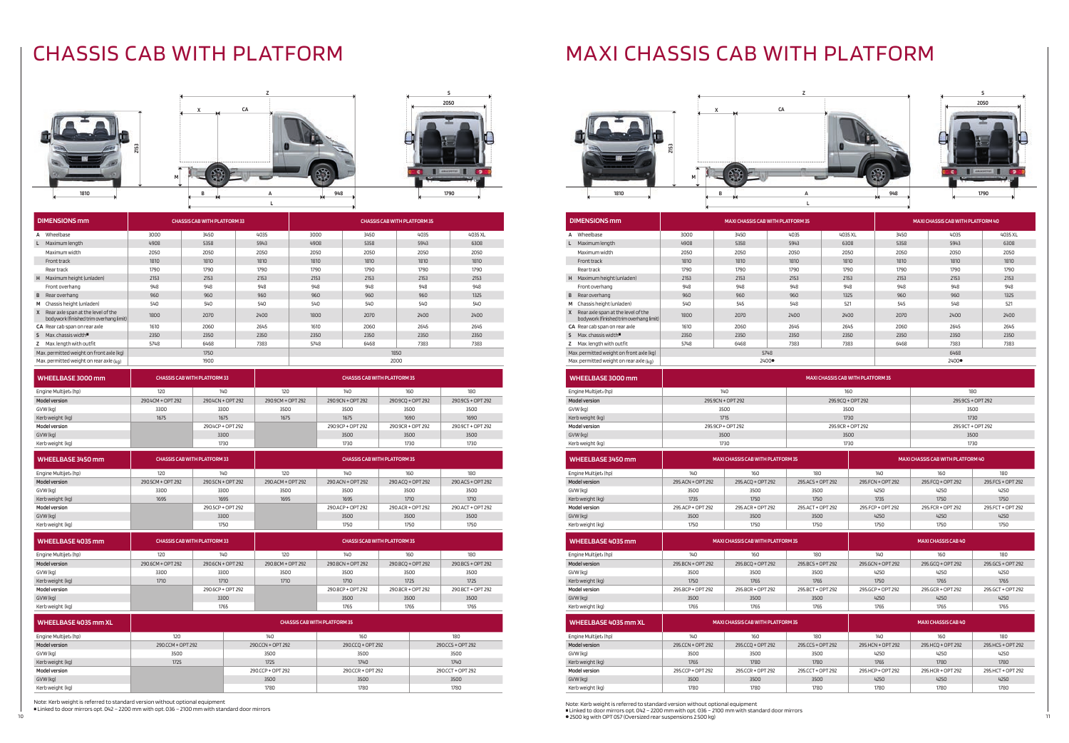Note: Kerb weight is referred to standard version without optional equipment

Linked to door mirrors opt. 042 - 2200 mm with opt. 036 - 2100 mm with standard door mirrors

# CHASSIS CAB WITH PLATFORM







| WHEELBASE 3000 mm                 |                   | <b>CHASSIS CAB WITH PLATFORM 33</b> |                   | <b>CHASSIS CAB WITH PLATFORM 35</b> |                   |                   |  |
|-----------------------------------|-------------------|-------------------------------------|-------------------|-------------------------------------|-------------------|-------------------|--|
| Engine Multijet <sub>3</sub> (hp) | 120               | 140                                 | 120               | 140                                 | 160               | 180               |  |
| <b>Model version</b>              | 290.4CM + OPT 292 | 290.4CN + OPT 292                   | 290.9CM + OPT 292 | 290.9CN + OPT 292                   | 290.9CO + OPT 292 | 290.9CS + OPT 292 |  |
| GVW (kg)                          | 3300              | 3300                                | 3500              | 3500                                | 3500              | 3500              |  |
| Kerb weight (kg)                  | 1675              | 1675                                | 1675              | 1675                                | 1690              | 1690              |  |
| <b>Model version</b>              |                   | 290.4CP + OPT 292                   |                   | 290.9CP + OPT 292                   | 290.9CR + OPT 292 | 290.9CT + OPT 292 |  |
| GVW (kg)                          |                   | 3300                                |                   | 3500                                | 3500              | 3500              |  |
| Kerb weight (kg)                  |                   | 1730                                |                   | 1730                                | 1730              | 1730              |  |

| WHEELBASE 3450 mm                 |                   | <b>CHASSIS CAB WITH PLATFORM 33</b> |                   | <b>CHASSIS CAB WITH PLATFORM 35</b> |                   |                   |  |
|-----------------------------------|-------------------|-------------------------------------|-------------------|-------------------------------------|-------------------|-------------------|--|
| Engine Multijet <sub>3</sub> (hp) | 120               | 140                                 |                   | 140                                 | 160               | 180               |  |
| <b>Model version</b>              | 290.5CM + OPT 292 | 290.5CN + OPT 292                   | 290.ACM + OPT 292 | 290.ACN + OPT 292                   | 290.ACQ + OPT 292 | 290.ACS + OPT 292 |  |
| GVW (kg)                          | 3300              | 3300                                | 3500              | 3500                                | 3500              | 3500              |  |
| Kerb weight (kg)                  | 1695              | 1695                                | 1695              | 1695                                | 1710              | 1710              |  |
| Model version                     |                   | 290.5CP + OPT 292                   |                   | 290.ACP + OPT 292                   | 290.ACR + OPT 292 | 290.ACT + OPT 292 |  |
| GVW (kg)                          |                   | 3300                                |                   | 3500                                | 3500              | 3500              |  |
| Kerb weight (kg)                  |                   | 1750                                |                   | 1750                                | 1750              | 1750              |  |

| WHEELBASE 4035 mm                 |                   | <b>CHASSIS CAB WITH PLATFORM 33</b> |                   | <b>CHASSI SCAB WITH PLATFORM 35</b> |                   |                   |  |
|-----------------------------------|-------------------|-------------------------------------|-------------------|-------------------------------------|-------------------|-------------------|--|
| Engine Multijet <sub>3</sub> (hp) | 120               | 140                                 | 120               |                                     | 160               | 180               |  |
| <b>Model version</b>              | 290.6CM + OPT 292 | 290.6CN + OPT 292                   | 290.BCM + OPT 292 | 290.BCN + OPT 292                   | 290.BCO + OPT 292 | 290.BCS + OPT 292 |  |
| GVW (kg)                          | 3300              | 3300                                | 3500              | 3500                                | 3500              | 3500              |  |
| Kerb weight (kg)                  | 1710              | 1710                                | 1710              | 1710                                | 1725              | 1725              |  |
| <b>Model version</b>              |                   | 290.6CP + OPT 292                   |                   | 290 BCP + OPT 292                   | 290.BCR + OPT 292 | 290.BCT + OPT 292 |  |
| GVW (kg)                          |                   | 3300                                |                   | 3500                                | 3500              | 3500              |  |
| Kerb weight (kg)                  |                   | 1765                                |                   | 1765                                | 1765              | 1765              |  |

| WHEELBASE 4035 mm XL              | <b>CHASSIS CAB WITH PLATFORM 35</b> |                   |                   |                   |  |  |  |
|-----------------------------------|-------------------------------------|-------------------|-------------------|-------------------|--|--|--|
| Engine Multijet <sub>3</sub> (hp) | 120                                 | 140               | 160               | 180               |  |  |  |
| <b>Model version</b>              | 290.CCM + OPT 292                   | 290.CCN + OPT 292 | 290.CCQ + OPT 292 | 290.CCS + OPT 292 |  |  |  |
| GVW (kg)                          | 3500                                | 3500              | 3500              | 3500              |  |  |  |
| Kerb weight (kg)                  | 1725                                | 1725              | 1740              | 1740              |  |  |  |
| <b>Model version</b>              |                                     | 290.CCP + OPT 292 | 290.CCR + OPT 292 | 290.CCT + OPT 292 |  |  |  |
| GVW (kg)                          |                                     | 3500              | 3500              | 3500              |  |  |  |
| Kerb weight (kg)                  |                                     | 1780              | 1780              | 1780              |  |  |  |

# MAXI CHASSIS CAB WITH PLATFORM

|      | X       | CA |          |
|------|---------|----|----------|
|      |         |    |          |
| 2153 | M       |    |          |
| 1810 | в<br>21 | A  | 948<br>m |





|   | <b>DIMENSIONS mm</b>                                                          |      |       | <b>MAXI CHASSIS CAB WITH PLATFORM 35</b><br>MAXI CHASSIS CAB WITH PLATFORM 40 |         |      |       |         |
|---|-------------------------------------------------------------------------------|------|-------|-------------------------------------------------------------------------------|---------|------|-------|---------|
|   | A Wheelbase                                                                   | 3000 | 3450  | 4035                                                                          | 4035 XL | 3450 | 4035  | 4035 XL |
|   | Maximum length                                                                | 4908 | 5358  | 5943                                                                          | 6308    | 5358 | 5943  | 6308    |
|   | Maximum width                                                                 | 2050 | 2050  | 2050                                                                          | 2050    | 2050 | 2050  | 2050    |
|   | Front track                                                                   | 1810 | 1810  | 1810                                                                          | 1810    | 1810 | 1810  | 1810    |
|   | Rear track                                                                    | 1790 | 1790  | 1790                                                                          | 1790    | 1790 | 1790  | 1790    |
|   | H Maximum height (unladen)                                                    | 2153 | 2153  | 2153                                                                          | 2153    | 2153 | 2153  | 2153    |
|   | Front overhang                                                                | 948  | 948   | 948                                                                           | 948     | 948  | 948   | 948     |
|   | <b>B</b> Rear overhang                                                        | 960  | 960   | 960                                                                           | 1325    | 960  | 960   | 1325    |
|   | M Chassis height (unladen)                                                    | 540  | 545   | 548                                                                           | 521     | 545  | 548   | 521     |
| X | Rear axle span at the level of the<br>bodywork (finished trim overhang limit) | 1800 | 2070  | 2400                                                                          | 2400    | 2070 | 2400  | 2400    |
|   | CA Rear cab span on rear axle                                                 | 1610 | 2060  | 2645                                                                          | 2645    | 2060 | 2645  | 2645    |
|   | $S$ Max. chassis width <sup>"</sup>                                           | 2350 | 2350  | 2350                                                                          | 2350    | 2350 | 2350  | 2350    |
|   | Z Max. length with outfit                                                     | 5748 | 6468  | 7383                                                                          | 7383    | 6468 | 7383  | 7383    |
|   | Max. permitted weight on front axle (kg)                                      |      | 5748  |                                                                               |         |      | 6468  |         |
|   | Max. permitted weight on rear axle $(kq)$                                     |      | 2400● |                                                                               |         |      | 2400● |         |

| WHEELBASE 3000 mm                 | <b>MAXI CHASSIS CAB WITH PLATFORM 35</b> |                                          |                   |                   |                                          |                    |  |
|-----------------------------------|------------------------------------------|------------------------------------------|-------------------|-------------------|------------------------------------------|--------------------|--|
| Engine Multijet <sub>3</sub> (hp) |                                          | 140                                      |                   | 160               |                                          | 180                |  |
| <b>Model version</b>              |                                          | 295.9CN + OPT 292                        |                   | 295.9CQ + OPT 292 |                                          | 295.9CS + OPT 292  |  |
| GVW (kg)                          |                                          | 3500                                     |                   | 3500              |                                          | 3500               |  |
| Kerb weight (kg)                  |                                          | 1715                                     |                   | 1730              |                                          | 1730               |  |
| Model version                     |                                          | 295.9CP + OPT 292                        |                   | 295.9CR + OPT 292 |                                          | 295.9CT + OPT 292  |  |
| GVW (kg)                          |                                          | 3500                                     |                   | 3500              |                                          | 3500               |  |
| Kerb weight (kg)                  |                                          | 1730                                     |                   | 1730              |                                          | 1730               |  |
| WHEELBASE 3450 mm                 |                                          | <b>MAXI CHASSIS CAB WITH PLATFORM 35</b> |                   |                   | <b>MAXI CHASSIS CAB WITH PLATFORM 40</b> |                    |  |
| Engine Multijet <sub>3</sub> (hp) | 140                                      | 160                                      | 180               | 140               | 160                                      | 180                |  |
| <b>Model version</b>              | 295.ACN + OPT 292                        | 295.ACQ + OPT 292                        | 295 ACS + OPT 292 | 295 FCN + OPT 292 | 295.FCQ + OPT 292                        | 295, FCS + OPT 292 |  |
| GVW (kg)                          | 3500                                     | 3500                                     | 3500              | 4250              | 4250                                     | 4250               |  |
| Kerb weight (kg)                  | 1735                                     | 1750                                     | 1750              | 1735              | 1750                                     | 1750               |  |
| <b>Model version</b>              | 295.ACP + OPT 292                        | 295 ACR + OPT 292                        | 295 ACT + OPT 292 | 295 FCP + OPT 292 | 295 FCR + OPT 292                        | 295 FCT + OPT 292  |  |
| GVW (kg)                          | 3500                                     | 3500                                     | 3500              | 4250              | 4250                                     | 4250               |  |
| Kerb weight (kg)                  | 1750                                     | 1750                                     | 1750              | 1750              | 1750                                     | 1750               |  |
| WHEELBASE 4035 mm                 |                                          | <b>MAXI CHASSIS CAB WITH PLATFORM 35</b> |                   |                   | <b>MAXICHASSIS CAB 40</b>                |                    |  |
| Engine Multijet <sub>3</sub> (hp) | 140                                      | 160                                      | 180               | 140               | 160                                      | 180                |  |

| Engine Multijet <sub>3</sub> (hp) | 140               | 160               | 180               | 140               | 160               | 180               |
|-----------------------------------|-------------------|-------------------|-------------------|-------------------|-------------------|-------------------|
| <b>Model version</b>              | 295.BCN + OPT 292 | 295.BCO + OPT 292 | 295 BCS + OPT 292 | 295.GCN + OPT 292 | 295.GCO + OPT 292 | 295.GCS + OPT 292 |
| GVW (kg)                          | 3500              | 3500              | 3500              | 4250              | 4250              | 4250              |
| Kerb weight (kg)                  | 1750              | 1765              | 1765              | 1750              | 1765              | 1765              |
| <b>Model version</b>              | 295.BCP + OPT 292 | 295.BCR + OPT 292 | 295.BCT + OPT 292 | 295.GCP + OPT 292 | 295.GCR + OPT 292 | 295.GCT + OPT 292 |
| GVW (kg)                          | 3500              | 3500              | 3500              | 4250              | 4250              | 4250              |
| Kerb weight (kg)                  | 1765              | 1765              | 1765              | 1765              | 1765              | 1765              |

| WHEELBASE 4035 mm XL              | <b>MAXI CHASSIS CAB WITH PLATFORM 35</b> |                   |                   | MAXI CHASSIS CAB 40 |                   |                   |  |
|-----------------------------------|------------------------------------------|-------------------|-------------------|---------------------|-------------------|-------------------|--|
| Engine Multijet <sub>3</sub> (hp) | 140<br>160                               |                   | 180               | 140                 | 160               | 180               |  |
| <b>Model version</b>              | 295.CCN + OPT 292                        | 295,CCO + OPT 292 | 295.CCS + OPT 292 | 295.HCN + OPT 292   | 295.HCQ + OPT 292 | 295.HCS + OPT 292 |  |
| GVW (kg)                          | 3500                                     | 3500              | 3500              | 4250                | 4250              | 4250              |  |
| Kerb weight (kg)                  | 1765                                     | 1780              | 1780              | 1765                | 1780              | 1780              |  |
| Model version                     | 295 CCP + OPT 292                        | 295.CCR + OPT 292 | 295.CCT + OPT 292 | 295 HCP + OPT 292   | 295 HCR + OPT 292 | 295 HCT + OPT 292 |  |
| GVW (kg)                          | 3500                                     | 3500              | 3500              | 4250                | 4250              | 4250              |  |
| Kerb weight (kg)                  | 1780                                     | 1780              |                   | 1780                | 1780              | 1780              |  |

 $\bullet$  2500 kg with OPT 057 (Oversized rear suspensions 2.500 kg) Note: Kerb weight is referred to standard version without optional equipment<br>■Linked to door mirrors opt. 042 – 2200 mm with opt. 036 – 2100 mm with standard door mirrors<br>● 2500 kg with OPT 057 (Oversized rear suspensions

| <b>DIMENSIONS mm</b>                                                          | <b>CHASSIS CAB WITH PLATFORM 33</b> |      |      | <b>CHASSIS CAB WITH PLATFORM 35</b> |      |      |         |  |
|-------------------------------------------------------------------------------|-------------------------------------|------|------|-------------------------------------|------|------|---------|--|
| Wheelbase<br>А                                                                | 3000                                | 3450 | 4035 | 3000                                | 3450 | 4035 | 4035 XL |  |
| Maximum length                                                                | 4908                                | 5358 | 5943 | 4908                                | 5358 | 5943 | 6308    |  |
| Maximum width                                                                 | 2050                                | 2050 | 2050 | 2050                                | 2050 | 2050 | 2050    |  |
| Front track                                                                   | 1810                                | 1810 | 1810 | 1810                                | 1810 | 1810 | 1810    |  |
| Rear track                                                                    | 1790                                | 1790 | 1790 | 1790                                | 1790 | 1790 | 1790    |  |
| Maximum height (unladen)<br>H.                                                | 2153                                | 2153 | 2153 | 2153                                | 2153 | 2153 | 2153    |  |
| Front overhang                                                                | 948                                 | 948  | 948  | 948                                 | 948  | 948  | 948     |  |
| Rear overhang<br>B                                                            | 960                                 | 960  | 960  | 960                                 | 960  | 960  | 1325    |  |
| Chassis height (unladen)<br>м                                                 | 540                                 | 540  | 540  | 540                                 | 540  | 540  | 540     |  |
| Rear axle span at the level of the<br>bodywork (finished trim overhang limit) | 1800                                | 2070 | 2400 | 1800                                | 2070 | 2400 | 2400    |  |
| CA Rear cab span on rear axle                                                 | 1610                                | 2060 | 2645 | 1610                                | 2060 | 2645 | 2645    |  |
| Max. chassis width $\blacksquare$<br>s.                                       | 2350                                | 2350 | 2350 | 2350                                | 2350 | 2350 | 2350    |  |
| Max. length with outfit                                                       | 5748                                | 6468 | 7383 | 5748                                | 6468 | 7383 | 7383    |  |
| Max. permitted weight on front axle (kg)                                      | 1750                                |      |      | 1850                                |      |      |         |  |
| Max. permitted weight on rear axle $(k0)$                                     |                                     | 1900 |      |                                     | 2000 |      |         |  |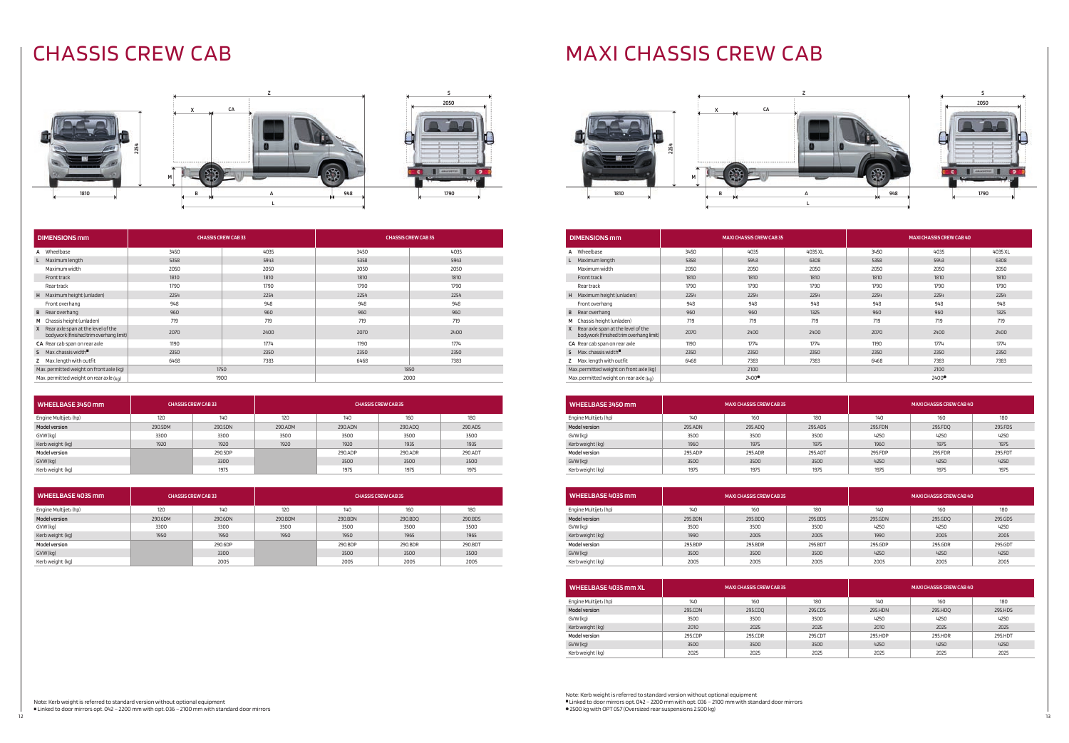# CHASSIS CREW CAB MAXI CHASSIS CREW CAB

Note: Kerb weight is referred to standard version without optional equipment Inked to door mirrors opt. 042 – 2200 mm with opt. 036 – 2100 mm with standard door mirrors **.** 2500 kg with OPT 057 (Oversized rear suspensions 2.500 kg)

Note: Kerb weight is referred to standard version without optional equipment  $\blacksquare$  Linked to door mirrors opt. 042 – 2200 mm with opt. 036 – 2100 mm with standard door mirrors

| 2254      | х | CA |            |
|-----------|---|----|------------|
|           | M |    |            |
| 1810<br>м | в | A  | 948<br>719 |
|           |   |    |            |











| <b>DIMENSIONS mm</b>                                                          | <b>CHASSIS CREW CAB33</b> |      | <b>CHASSIS CREW CAB 35</b> |      |  |
|-------------------------------------------------------------------------------|---------------------------|------|----------------------------|------|--|
| Wheelbase<br>A                                                                | 3450                      | 4035 | 3450                       | 4035 |  |
| Maximum length                                                                | 5358                      | 5943 | 5358                       | 5943 |  |
| Maximum width                                                                 | 2050                      | 2050 | 2050                       | 2050 |  |
| Front track                                                                   | 1810                      | 1810 | 1810                       | 1810 |  |
| Rear track                                                                    | 1790                      | 1790 | 1790                       | 1790 |  |
| Maximum height (unladen)<br>H                                                 | 2254                      | 2254 | 2254                       | 2254 |  |
| Front overhang                                                                | 948                       | 948  | 948                        | 948  |  |
| Rear overhang<br>B                                                            | 960                       | 960  | 960                        | 960  |  |
| Chassis height (unladen)<br>м                                                 | 719                       | 719  | 719                        | 719  |  |
| Rear axle span at the level of the<br>bodywork (finished trim overhang limit) | 2070                      | 2400 | 2070                       | 2400 |  |
| CA Rear cab span on rear axle                                                 | 1190                      | 1774 | 1190                       | 1774 |  |
| Max, chassis width $\blacksquare$<br>s.                                       | 2350                      | 2350 | 2350                       | 2350 |  |
| Max. length with outfit                                                       | 6468                      | 7383 | 6468                       | 7383 |  |
| Max. permitted weight on front axle (kg)                                      |                           | 1750 | 1850                       |      |  |
| Max. permitted weight on rear axle $(kq)$                                     |                           | 1900 | 2000                       |      |  |

| WHEELBASE 3450 mm                 |         | <b>CHASSIS CREW CAB 33</b> | <b>CHASSIS CREW CAB 35</b> |         |         |         |
|-----------------------------------|---------|----------------------------|----------------------------|---------|---------|---------|
| Engine Multijet <sub>3</sub> (hp) | 120     | 140                        | 120                        | 140     | 160     | 180     |
| <b>Model version</b>              | 290.5DM | 290.5DN                    | 290.ADM                    | 290.ADN | 290.ADQ | 290.ADS |
| GVW (kg)                          | 3300    | 3300                       | 3500                       | 3500    | 3500    | 3500    |
| Kerb weight (kg)                  | 1920    | 1920                       | 1920                       | 1920    | 1935    | 1935    |
| <b>Model version</b>              |         | 290.5DP                    |                            | 290.ADP | 290.ADR | 290.ADT |
| GVW (kg)                          |         | 3300                       |                            | 3500    | 3500    | 3500    |
| Kerb weight (kg)                  |         | 1975                       |                            | 1975    | 1975    | 1975    |

| WHEELBASE 4035 mm                 |         | <b>CHASSIS CREW CAB33</b> | <b>CHASSIS CREW CAB 35</b> |         |         |         |
|-----------------------------------|---------|---------------------------|----------------------------|---------|---------|---------|
| Engine Multijet <sub>3</sub> (hp) | 120     | 140                       | 120                        | 140     | 160     | 180     |
| <b>Model version</b>              | 290.6DM | 290.6DN                   | 290.BDM                    | 290.BDN | 290.BDQ | 290.BDS |
| GVW (kg)                          | 3300    | 3300                      | 3500                       | 3500    | 3500    | 3500    |
| Kerb weight (kg)                  | 1950    | 1950                      | 1950                       | 1950    | 1965    | 1965    |
| <b>Model version</b>              |         | 290.6DP                   |                            | 290.BDP | 290.BDR | 290.BDT |
| GVW (kg)                          |         | 3300                      |                            | 3500    | 3500    | 3500    |
| Kerb weight (kg)                  |         | 2005                      |                            | 2005    | 2005    | 2005    |

| <b>DIMENSIONS mm</b>                                                               | <b>MAXI CHASSIS CREW CAB 35</b> |       |         | <b>MAXI CHASSIS CREW CAB 40</b> |       |         |
|------------------------------------------------------------------------------------|---------------------------------|-------|---------|---------------------------------|-------|---------|
| Wheelbase<br>A                                                                     | 3450                            | 4035  | 4035 XL | 3450                            | 4035  | 4035 XL |
| Maximum length                                                                     | 5358                            | 5943  | 6308    | 5358                            | 5943  | 6308    |
| Maximum width                                                                      | 2050                            | 2050  | 2050    | 2050                            | 2050  | 2050    |
| Front track                                                                        | 1810                            | 1810  | 1810    | 1810                            | 1810  | 1810    |
| Rear track                                                                         | 1790                            | 1790  | 1790    | 1790                            | 1790  | 1790    |
| Maximum height (unladen)<br>н                                                      | 2254                            | 2254  | 2254    | 2254                            | 2254  | 2254    |
| Front overhang                                                                     | 948                             | 948   | 948     | 948                             | 948   | 948     |
| Rear overhang<br>B                                                                 | 960                             | 960   | 1325    | 960                             | 960   | 1325    |
| Chassis height (unladen)<br>M                                                      | 719                             | 719   | 719     | 719                             | 719   | 719     |
| Rear axle span at the level of the<br>X<br>bodywork (finished trim overhang limit) | 2070                            | 2400  | 2400    | 2070                            | 2400  | 2400    |
| CA Rear cab span on rear axle                                                      | 1190                            | 1774  | 1774    | 1190                            | 1774  | 1774    |
| Max. chassis width $\blacksquare$<br>s.                                            | 2350                            | 2350  | 2350    | 2350                            | 2350  | 2350    |
| Max. length with outfit<br>z                                                       | 6468                            | 7383  | 7383    | 6468                            | 7383  | 7383    |
| Max. permitted weight on front axle (kg)                                           |                                 | 2100  |         |                                 | 2100  |         |
| Max. permitted weight on rear axle $(kd)$                                          |                                 | 2400● |         |                                 | 2400● |         |

| WHEELBASE 3450 mm                 | <b>MAXI CHASSIS CREW CAB 35</b> |         |         | <b>MAXI CHASSIS CREW CAB 40</b> |         |         |
|-----------------------------------|---------------------------------|---------|---------|---------------------------------|---------|---------|
| Engine Multijet <sub>3</sub> (hp) | 140                             | 160     | 180     | 140                             | 160     | 180     |
| <b>Model version</b>              | 295.ADN                         | 295.ADQ | 295.ADS | 295.FDN                         | 295.FDQ | 295.FDS |
| GVW (kg)                          | 3500                            | 3500    | 3500    | 4250                            | 4250    | 4250    |
| Kerb weight (kg)                  | 1960                            | 1975    | 1975    | 1960                            | 1975    | 1975    |
| <b>Model version</b>              | 295.ADP                         | 295.ADR | 295.ADT | 295.FDP                         | 295.FDR | 295.FDT |
| GVW (kg)                          | 3500                            | 3500    | 3500    | 4250                            | 4250    | 4250    |
| Kerb weight (kg)                  | 1975                            | 1975    | 1975    | 1975                            | 1975    | 1975    |

| WHEELBASE 4035 mm                 | <b>MAXI CHASSIS CREW CAB 35</b> |         |         |         | <b>MAXI CHASSIS CREW CAB 40</b> |         |
|-----------------------------------|---------------------------------|---------|---------|---------|---------------------------------|---------|
| Engine Multijet <sub>3</sub> (hp) | 140                             | 160     | 180     | 140     | 160                             | 180     |
| <b>Model version</b>              | 295.BDN                         | 295.BDO | 295.BDS | 295.GDN | 295.GDQ                         | 295.GDS |
| GVW (kg)                          | 3500                            | 3500    | 3500    | 4250    | 4250                            | 4250    |
| Kerb weight (kg)                  | 1990                            | 2005    | 2005    | 1990    | 2005                            | 2005    |
| <b>Model version</b>              | 295.BDP                         | 295.BDR | 295.BDT | 295.GDP | 295.GDR                         | 295.GDT |
| GVW (kg)                          | 3500                            | 3500    | 3500    | 4250    | 4250                            | 4250    |
| Kerb weight (kg)                  | 2005                            | 2005    | 2005    | 2005    | 2005                            | 2005    |

| WHEELBASE 4035 mm XL              | <b>MAXI CHASSIS CREW CAB 35</b> |         |         | <b>MAXI CHASSIS CREW CAB 40</b> |         |         |
|-----------------------------------|---------------------------------|---------|---------|---------------------------------|---------|---------|
| Engine Multijet <sub>3</sub> (hp) | 140                             | 160     | 180     | 140                             | 160     | 180     |
| <b>Model version</b>              | 295.CDN                         | 295.CDQ | 295.CDS | 295.HDN                         | 295.HDQ | 295.HDS |
| GVW (kg)                          | 3500                            | 3500    | 3500    | 4250                            | 4250    | 4250    |
| Kerb weight (kg)                  | 2010                            | 2025    | 2025    | 2010                            | 2025    | 2025    |
| <b>Model version</b>              | 295.CDP                         | 295.CDR | 295.CDT | 295.HDP                         | 295.HDR | 295.HDT |
| GVW (kg)                          | 3500                            | 3500    | 3500    | 4250                            | 4250    | 4250    |
| Kerb weight (kg)                  | 2025                            | 2025    | 2025    | 2025                            | 2025    | 2025    |